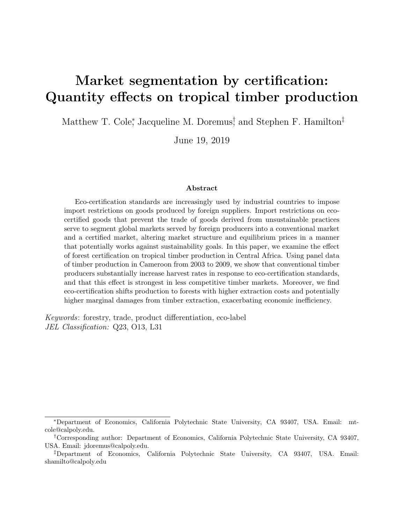# <span id="page-0-0"></span>Market segmentation by certification: Quantity effects on tropical timber production

Matthew T. Cole<sup>\*</sup>, Jacqueline M. Doremus<sup>†</sup> and Stephen F. Hamilton<sup>‡</sup>

June 19, 2019

#### Abstract

Eco-certification standards are increasingly used by industrial countries to impose import restrictions on goods produced by foreign suppliers. Import restrictions on ecocertified goods that prevent the trade of goods derived from unsustainable practices serve to segment global markets served by foreign producers into a conventional market and a certified market, altering market structure and equilibrium prices in a manner that potentially works against sustainability goals. In this paper, we examine the effect of forest certification on tropical timber production in Central Africa. Using panel data of timber production in Cameroon from 2003 to 2009, we show that conventional timber producers substantially increase harvest rates in response to eco-certification standards, and that this effect is strongest in less competitive timber markets. Moreover, we find eco-certification shifts production to forests with higher extraction costs and potentially higher marginal damages from timber extraction, exacerbating economic inefficiency.

Keywords: forestry, trade, product differentiation, eco-label JEL Classification: Q23, O13, L31

<sup>∗</sup>Department of Economics, California Polytechnic State University, CA 93407, USA. Email: mtcole@calpoly.edu.

<sup>†</sup>Corresponding author: Department of Economics, California Polytechnic State University, CA 93407, USA. Email: jdoremus@calpoly.edu.

<sup>‡</sup>Department of Economics, California Polytechnic State University, CA 93407, USA. Email: shamilto@calpoly.edu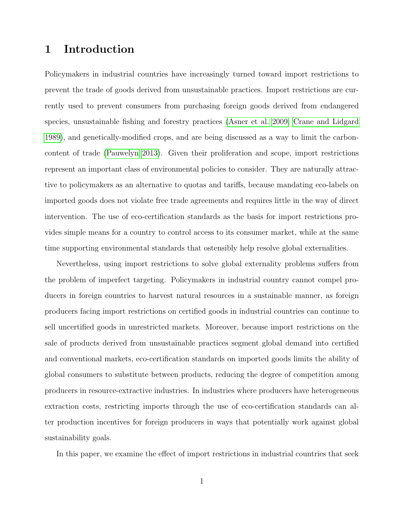## 1 Introduction

Policymakers in industrial countries have increasingly turned toward import restrictions to prevent the trade of goods derived from unsustainable practices. Import restrictions are currently used to prevent consumers from purchasing foreign goods derived from endangered species, unsustainable fishing and forestry practices [\(Asner et al. 2009;](#page-31-0) [Crane and Lidgard](#page-31-1) [1989\)](#page-31-1), and genetically-modified crops, and are being discussed as a way to limit the carboncontent of trade [\(Pauwelyn 2013\)](#page-33-0). Given their proliferation and scope, import restrictions represent an important class of environmental policies to consider. They are naturally attractive to policymakers as an alternative to quotas and tariffs, because mandating eco-labels on imported goods does not violate free trade agreements and requires little in the way of direct intervention. The use of eco-certification standards as the basis for import restrictions provides simple means for a country to control access to its consumer market, while at the same time supporting environmental standards that ostensibly help resolve global externalities.

Nevertheless, using import restrictions to solve global externality problems suffers from the problem of imperfect targeting. Policymakers in industrial country cannot compel producers in foreign countries to harvest natural resources in a sustainable manner, as foreign producers facing import restrictions on certified goods in industrial countries can continue to sell uncertified goods in unrestricted markets. Moreover, because import restrictions on the sale of products derived from unsustainable practices segment global demand into certified and conventional markets, eco-certification standards on imported goods limits the ability of global consumers to substitute between products, reducing the degree of competition among producers in resource-extractive industries. In industries where producers have heterogeneous extraction costs, restricting imports through the use of eco-certification standards can alter production incentives for foreign producers in ways that potentially work against global sustainability goals.

In this paper, we examine the effect of import restrictions in industrial countries that seek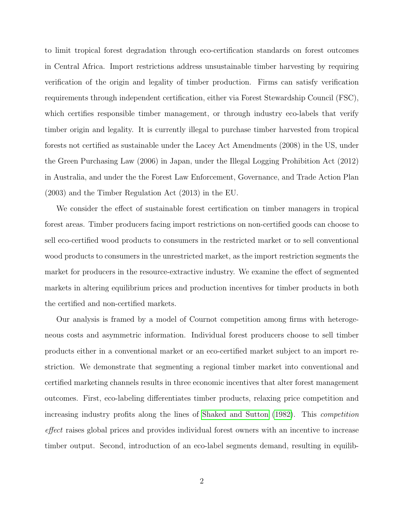to limit tropical forest degradation through eco-certification standards on forest outcomes in Central Africa. Import restrictions address unsustainable timber harvesting by requiring verification of the origin and legality of timber production. Firms can satisfy verification requirements through independent certification, either via Forest Stewardship Council (FSC), which certifies responsible timber management, or through industry eco-labels that verify timber origin and legality. It is currently illegal to purchase timber harvested from tropical forests not certified as sustainable under the Lacey Act Amendments (2008) in the US, under the Green Purchasing Law (2006) in Japan, under the Illegal Logging Prohibition Act (2012) in Australia, and under the the Forest Law Enforcement, Governance, and Trade Action Plan (2003) and the Timber Regulation Act (2013) in the EU.

We consider the effect of sustainable forest certification on timber managers in tropical forest areas. Timber producers facing import restrictions on non-certified goods can choose to sell eco-certified wood products to consumers in the restricted market or to sell conventional wood products to consumers in the unrestricted market, as the import restriction segments the market for producers in the resource-extractive industry. We examine the effect of segmented markets in altering equilibrium prices and production incentives for timber products in both the certified and non-certified markets.

Our analysis is framed by a model of Cournot competition among firms with heterogeneous costs and asymmetric information. Individual forest producers choose to sell timber products either in a conventional market or an eco-certified market subject to an import restriction. We demonstrate that segmenting a regional timber market into conventional and certified marketing channels results in three economic incentives that alter forest management outcomes. First, eco-labeling differentiates timber products, relaxing price competition and increasing industry profits along the lines of [Shaked and Sutton](#page-33-1) [\(1982\)](#page-33-1). This competition effect raises global prices and provides individual forest owners with an incentive to increase timber output. Second, introduction of an eco-label segments demand, resulting in equilib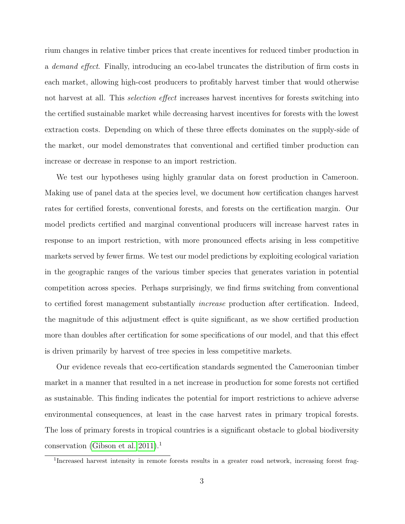rium changes in relative timber prices that create incentives for reduced timber production in a demand effect. Finally, introducing an eco-label truncates the distribution of firm costs in each market, allowing high-cost producers to profitably harvest timber that would otherwise not harvest at all. This *selection effect* increases harvest incentives for forests switching into the certified sustainable market while decreasing harvest incentives for forests with the lowest extraction costs. Depending on which of these three effects dominates on the supply-side of the market, our model demonstrates that conventional and certified timber production can increase or decrease in response to an import restriction.

We test our hypotheses using highly granular data on forest production in Cameroon. Making use of panel data at the species level, we document how certification changes harvest rates for certified forests, conventional forests, and forests on the certification margin. Our model predicts certified and marginal conventional producers will increase harvest rates in response to an import restriction, with more pronounced effects arising in less competitive markets served by fewer firms. We test our model predictions by exploiting ecological variation in the geographic ranges of the various timber species that generates variation in potential competition across species. Perhaps surprisingly, we find firms switching from conventional to certified forest management substantially *increase* production after certification. Indeed, the magnitude of this adjustment effect is quite significant, as we show certified production more than doubles after certification for some specifications of our model, and that this effect is driven primarily by harvest of tree species in less competitive markets.

Our evidence reveals that eco-certification standards segmented the Cameroonian timber market in a manner that resulted in a net increase in production for some forests not certified as sustainable. This finding indicates the potential for import restrictions to achieve adverse environmental consequences, at least in the case harvest rates in primary tropical forests. The loss of primary forests in tropical countries is a significant obstacle to global biodiversity conservation [\(Gibson et al. 2011\)](#page-32-0).<sup>1</sup>

<sup>&</sup>lt;sup>1</sup>Increased harvest intensity in remote forests results in a greater road network, increasing forest frag-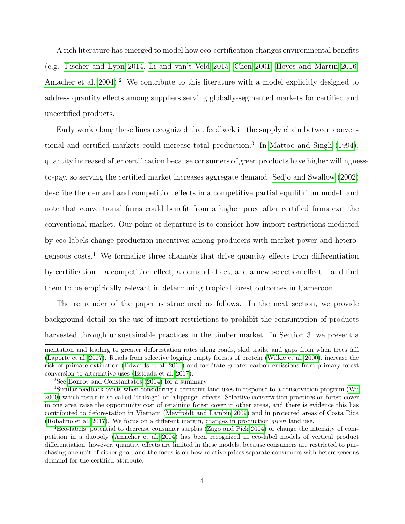A rich literature has emerged to model how eco-certification changes environmental benefits (e.g. [Fischer and Lyon 2014,](#page-32-1) [Li and van't Veld 2015,](#page-33-2) [Chen 2001,](#page-31-2) [Heyes and Martin 2016,](#page-32-2) [Amacher et al. 2004\)](#page-31-3).<sup>2</sup> We contribute to this literature with a model explicitly designed to address quantity effects among suppliers serving globally-segmented markets for certified and uncertified products.

Early work along these lines recognized that feedback in the supply chain between conventional and certified markets could increase total production.<sup>3</sup> In [Mattoo and Singh](#page-33-3) [\(1994\)](#page-33-3), quantity increased after certification because consumers of green products have higher willingnessto-pay, so serving the certified market increases aggregate demand. [Sedjo and Swallow](#page-33-4) [\(2002\)](#page-33-4) describe the demand and competition effects in a competitive partial equilibrium model, and note that conventional firms could benefit from a higher price after certified firms exit the conventional market. Our point of departure is to consider how import restrictions mediated by eco-labels change production incentives among producers with market power and heterogeneous costs.<sup>4</sup> We formalize three channels that drive quantity effects from differentiation by certification – a competition effect, a demand effect, and a new selection effect – and find them to be empirically relevant in determining tropical forest outcomes in Cameroon.

The remainder of the paper is structured as follows. In the next section, we provide background detail on the use of import restrictions to prohibit the consumption of products harvested through unsustainable practices in the timber market. In Section 3, we present a

mentation and leading to greater deforestation rates along roads, skid trails, and gaps from when trees fall [\(Laporte et al. 2007\)](#page-33-5). Roads from selective logging empty forests of protein [\(Wilkie et al. 2000\)](#page-34-0), increase the risk of primate extinction [\(Edwards et al. 2014\)](#page-31-4) and facilitate greater carbon emissions from primary forest conversion to alternative uses [\(Estrada et al. 2017\)](#page-32-3).

 $2$ See [Bonroy and Constantatos](#page-31-5) [\(2014\)](#page-31-5) for a summary

<sup>3</sup>Similar feedback exists when considering alternative land uses in response to a conservation program [\(Wu](#page-34-1) [2000\)](#page-34-1) which result in so-called "leakage" or "slippage" effects. Selective conservation practices on forest cover in one area raise the opportunity cost of retaining forest cover in other areas, and there is evidence this has contributed to deforestation in Vietnam [\(Meyfroidt and Lambin 2009\)](#page-33-6) and in protected areas of Costa Rica [\(Robalino et al. 2017\)](#page-33-7). We focus on a different margin, changes in production given land use.

<sup>4</sup>Eco-labels' potential to decrease consumer surplus [\(Zago and Pick 2004\)](#page-34-2) or change the intensity of competition in a duopoly [\(Amacher et al. 2004\)](#page-31-3) has been recognized in eco-label models of vertical product differentiation; however, quantity effects are limited in these models, because consumers are restricted to purchasing one unit of either good and the focus is on how relative prices separate consumers with heterogeneous demand for the certified attribute.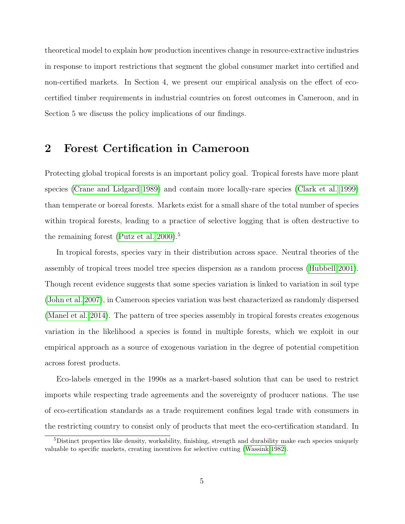theoretical model to explain how production incentives change in resource-extractive industries in response to import restrictions that segment the global consumer market into certified and non-certified markets. In Section 4, we present our empirical analysis on the effect of ecocertified timber requirements in industrial countries on forest outcomes in Cameroon, and in Section 5 we discuss the policy implications of our findings.

## 2 Forest Certification in Cameroon

Protecting global tropical forests is an important policy goal. Tropical forests have more plant species [\(Crane and Lidgard 1989\)](#page-31-1) and contain more locally-rare species [\(Clark et al. 1999\)](#page-31-6) than temperate or boreal forests. Markets exist for a small share of the total number of species within tropical forests, leading to a practice of selective logging that is often destructive to the remaining forest [\(Putz et al. 2000\)](#page-33-8).<sup>5</sup>

In tropical forests, species vary in their distribution across space. Neutral theories of the assembly of tropical trees model tree species dispersion as a random process [\(Hubbell 2001\)](#page-32-4). Though recent evidence suggests that some species variation is linked to variation in soil type [\(John et al. 2007\)](#page-32-5), in Cameroon species variation was best characterized as randomly dispersed [\(Manel et al. 2014\)](#page-33-9). The pattern of tree species assembly in tropical forests creates exogenous variation in the likelihood a species is found in multiple forests, which we exploit in our empirical approach as a source of exogenous variation in the degree of potential competition across forest products.

Eco-labels emerged in the 1990s as a market-based solution that can be used to restrict imports while respecting trade agreements and the sovereignty of producer nations. The use of eco-certification standards as a trade requirement confines legal trade with consumers in the restricting country to consist only of products that meet the eco-certification standard. In

<sup>&</sup>lt;sup>5</sup>Distinct properties like density, workability, finishing, strength and durability make each species uniquely valuable to specific markets, creating incentives for selective cutting [\(Wassink 1982\)](#page-34-3).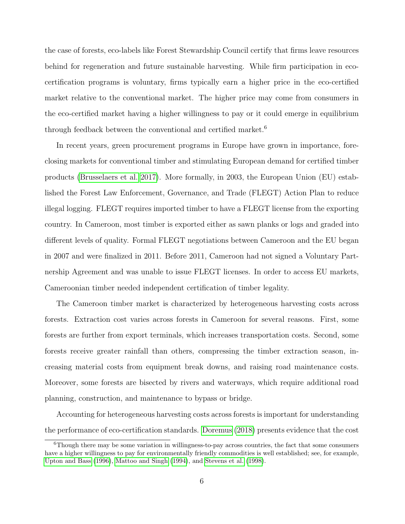the case of forests, eco-labels like Forest Stewardship Council certify that firms leave resources behind for regeneration and future sustainable harvesting. While firm participation in ecocertification programs is voluntary, firms typically earn a higher price in the eco-certified market relative to the conventional market. The higher price may come from consumers in the eco-certified market having a higher willingness to pay or it could emerge in equilibrium through feedback between the conventional and certified market.<sup>6</sup>

In recent years, green procurement programs in Europe have grown in importance, foreclosing markets for conventional timber and stimulating European demand for certified timber products [\(Brusselaers et al. 2017\)](#page-31-7). More formally, in 2003, the European Union (EU) established the Forest Law Enforcement, Governance, and Trade (FLEGT) Action Plan to reduce illegal logging. FLEGT requires imported timber to have a FLEGT license from the exporting country. In Cameroon, most timber is exported either as sawn planks or logs and graded into different levels of quality. Formal FLEGT negotiations between Cameroon and the EU began in 2007 and were finalized in 2011. Before 2011, Cameroon had not signed a Voluntary Partnership Agreement and was unable to issue FLEGT licenses. In order to access EU markets, Cameroonian timber needed independent certification of timber legality.

The Cameroon timber market is characterized by heterogeneous harvesting costs across forests. Extraction cost varies across forests in Cameroon for several reasons. First, some forests are further from export terminals, which increases transportation costs. Second, some forests receive greater rainfall than others, compressing the timber extraction season, increasing material costs from equipment break downs, and raising road maintenance costs. Moreover, some forests are bisected by rivers and waterways, which require additional road planning, construction, and maintenance to bypass or bridge.

Accounting for heterogeneous harvesting costs across forests is important for understanding the performance of eco-certification standards. [Doremus](#page-31-8) [\(2018\)](#page-31-8) presents evidence that the cost

 $6$ Though there may be some variation in willingness-to-pay across countries, the fact that some consumers have a higher willingness to pay for environmentally friendly commodities is well established; see, for example, [Upton and Bass](#page-34-4) [\(1996\)](#page-34-4), [Mattoo and Singh](#page-33-3) [\(1994\)](#page-33-3), and [Stevens et al.](#page-34-5) [\(1998\)](#page-34-5).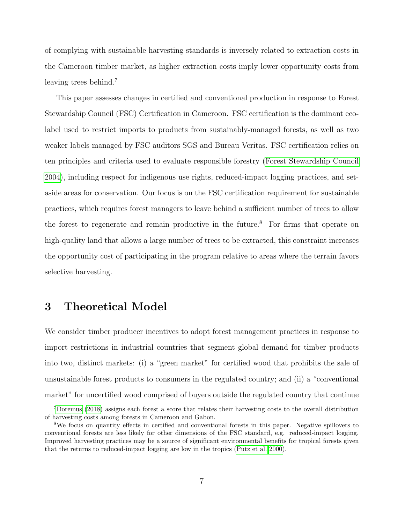of complying with sustainable harvesting standards is inversely related to extraction costs in the Cameroon timber market, as higher extraction costs imply lower opportunity costs from leaving trees behind.<sup>7</sup>

This paper assesses changes in certified and conventional production in response to Forest Stewardship Council (FSC) Certification in Cameroon. FSC certification is the dominant ecolabel used to restrict imports to products from sustainably-managed forests, as well as two weaker labels managed by FSC auditors SGS and Bureau Veritas. FSC certification relies on ten principles and criteria used to evaluate responsible forestry [\(Forest Stewardship Council](#page-32-6) [2004\)](#page-32-6), including respect for indigenous use rights, reduced-impact logging practices, and setaside areas for conservation. Our focus is on the FSC certification requirement for sustainable practices, which requires forest managers to leave behind a sufficient number of trees to allow the forest to regenerate and remain productive in the future.<sup>8</sup> For firms that operate on high-quality land that allows a large number of trees to be extracted, this constraint increases the opportunity cost of participating in the program relative to areas where the terrain favors selective harvesting.

## 3 Theoretical Model

We consider timber producer incentives to adopt forest management practices in response to import restrictions in industrial countries that segment global demand for timber products into two, distinct markets: (i) a "green market" for certified wood that prohibits the sale of unsustainable forest products to consumers in the regulated country; and (ii) a "conventional market" for uncertified wood comprised of buyers outside the regulated country that continue

<sup>&</sup>lt;sup>7</sup>[Doremus](#page-31-8) [\(2018\)](#page-31-8) assigns each forest a score that relates their harvesting costs to the overall distribution of harvesting costs among forests in Cameroon and Gabon.

<sup>8</sup>We focus on quantity effects in certified and conventional forests in this paper. Negative spillovers to conventional forests are less likely for other dimensions of the FSC standard, e.g. reduced-impact logging. Improved harvesting practices may be a source of significant environmental benefits for tropical forests given that the returns to reduced-impact logging are low in the tropics [\(Putz et al. 2000\)](#page-33-8).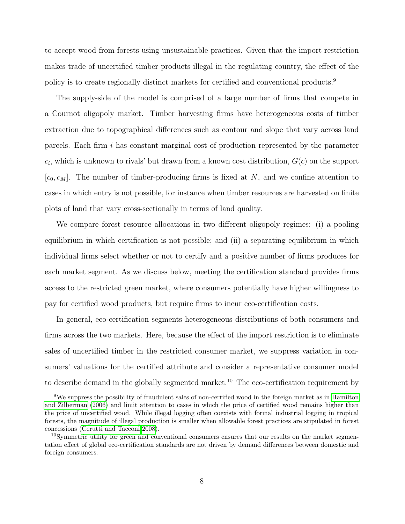to accept wood from forests using unsustainable practices. Given that the import restriction makes trade of uncertified timber products illegal in the regulating country, the effect of the policy is to create regionally distinct markets for certified and conventional products.<sup>9</sup>

The supply-side of the model is comprised of a large number of firms that compete in a Cournot oligopoly market. Timber harvesting firms have heterogeneous costs of timber extraction due to topographical differences such as contour and slope that vary across land parcels. Each firm i has constant marginal cost of production represented by the parameter  $c_i$ , which is unknown to rivals' but drawn from a known cost distribution,  $G(c)$  on the support  $[c_0, c_M]$ . The number of timber-producing firms is fixed at N, and we confine attention to cases in which entry is not possible, for instance when timber resources are harvested on finite plots of land that vary cross-sectionally in terms of land quality.

We compare forest resource allocations in two different oligopoly regimes: (i) a pooling equilibrium in which certification is not possible; and (ii) a separating equilibrium in which individual firms select whether or not to certify and a positive number of firms produces for each market segment. As we discuss below, meeting the certification standard provides firms access to the restricted green market, where consumers potentially have higher willingness to pay for certified wood products, but require firms to incur eco-certification costs.

In general, eco-certification segments heterogeneous distributions of both consumers and firms across the two markets. Here, because the effect of the import restriction is to eliminate sales of uncertified timber in the restricted consumer market, we suppress variation in consumers' valuations for the certified attribute and consider a representative consumer model to describe demand in the globally segmented market.<sup>10</sup> The eco-certification requirement by

<sup>9</sup>We suppress the possibility of fraudulent sales of non-certified wood in the foreign market as in [Hamilton](#page-32-7) [and Zilberman](#page-32-7) [\(2006\)](#page-32-7) and limit attention to cases in which the price of certified wood remains higher than the price of uncertified wood. While illegal logging often coexists with formal industrial logging in tropical forests, the magnitude of illegal production is smaller when allowable forest practices are stipulated in forest concessions [\(Cerutti and Tacconi 2008\)](#page-31-9).

<sup>10</sup>Symmetric utility for green and conventional consumers ensures that our results on the market segmentation effect of global eco-certification standards are not driven by demand differences between domestic and foreign consumers.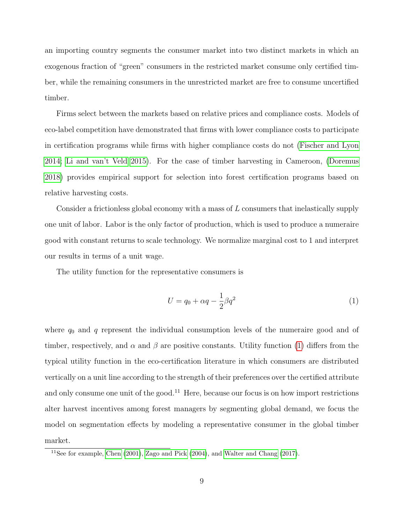an importing country segments the consumer market into two distinct markets in which an exogenous fraction of "green" consumers in the restricted market consume only certified timber, while the remaining consumers in the unrestricted market are free to consume uncertified timber.

Firms select between the markets based on relative prices and compliance costs. Models of eco-label competition have demonstrated that firms with lower compliance costs to participate in certification programs while firms with higher compliance costs do not [\(Fischer and Lyon](#page-32-1) [2014;](#page-32-1) [Li and van't Veld 2015\)](#page-33-2). For the case of timber harvesting in Cameroon, [\(Doremus](#page-31-8) [2018\)](#page-31-8) provides empirical support for selection into forest certification programs based on relative harvesting costs.

Consider a frictionless global economy with a mass of L consumers that inelastically supply one unit of labor. Labor is the only factor of production, which is used to produce a numeraire good with constant returns to scale technology. We normalize marginal cost to 1 and interpret our results in terms of a unit wage.

The utility function for the representative consumers is

<span id="page-9-0"></span>
$$
U = q_0 + \alpha q - \frac{1}{2}\beta q^2 \tag{1}
$$

where  $q_0$  and q represent the individual consumption levels of the numeraire good and of timber, respectively, and  $\alpha$  and  $\beta$  are positive constants. Utility function [\(1\)](#page-9-0) differs from the typical utility function in the eco-certification literature in which consumers are distributed vertically on a unit line according to the strength of their preferences over the certified attribute and only consume one unit of the good.<sup>11</sup> Here, because our focus is on how import restrictions alter harvest incentives among forest managers by segmenting global demand, we focus the model on segmentation effects by modeling a representative consumer in the global timber market.

<sup>&</sup>lt;sup>11</sup>See for example, [Chen](#page-31-2)  $(2001)$ , [Zago and Pick](#page-34-2)  $(2004)$ , and [Walter and Chang](#page-34-6)  $(2017)$ .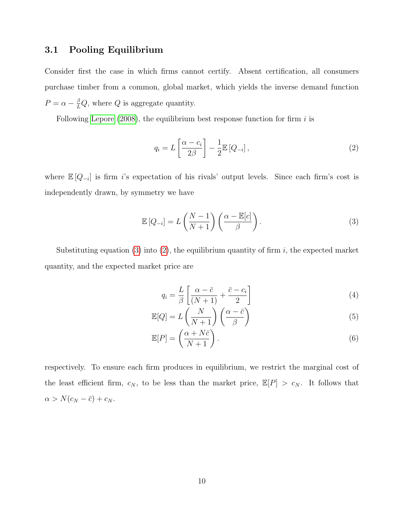## 3.1 Pooling Equilibrium

Consider first the case in which firms cannot certify. Absent certification, all consumers purchase timber from a common, global market, which yields the inverse demand function  $P = \alpha - \frac{\beta}{L}Q$ , where Q is aggregate quantity.

Following [Lepore](#page-33-10)  $(2008)$ , the equilibrium best response function for firm i is

<span id="page-10-1"></span>
$$
q_i = L\left[\frac{\alpha - c_i}{2\beta}\right] - \frac{1}{2}\mathbb{E}\left[Q_{-i}\right],\tag{2}
$$

where  $\mathbb{E}[Q_{-i}]$  is firm *i*'s expectation of his rivals' output levels. Since each firm's cost is independently drawn, by symmetry we have

<span id="page-10-0"></span>
$$
\mathbb{E}\left[Q_{-i}\right] = L\left(\frac{N-1}{N+1}\right)\left(\frac{\alpha - \mathbb{E}[c]}{\beta}\right). \tag{3}
$$

Substituting equation [\(3\)](#page-10-0) into [\(2\)](#page-10-1), the equilibrium quantity of firm  $i$ , the expected market quantity, and the expected market price are

<span id="page-10-2"></span>
$$
q_i = \frac{L}{\beta} \left[ \frac{\alpha - \bar{c}}{(N+1)} + \frac{\bar{c} - c_i}{2} \right]
$$
 (4)

$$
\mathbb{E}[Q] = L\left(\frac{N}{N+1}\right)\left(\frac{\alpha - \bar{c}}{\beta}\right) \tag{5}
$$

$$
\mathbb{E}[P] = \left(\frac{\alpha + N\bar{c}}{N+1}\right). \tag{6}
$$

respectively. To ensure each firm produces in equilibrium, we restrict the marginal cost of the least efficient firm,  $c_N$ , to be less than the market price,  $\mathbb{E}[P] > c_N$ . It follows that  $\alpha > N(c_N - \bar{c}) + c_N.$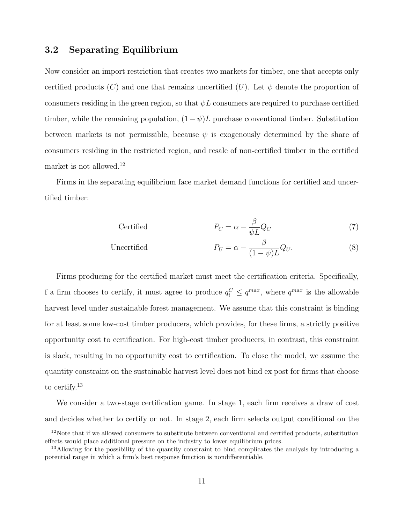### 3.2 Separating Equilibrium

Now consider an import restriction that creates two markets for timber, one that accepts only certified products (C) and one that remains uncertified (U). Let  $\psi$  denote the proportion of consumers residing in the green region, so that  $\psi L$  consumers are required to purchase certified timber, while the remaining population,  $(1 - \psi)L$  purchase conventional timber. Substitution between markets is not permissible, because  $\psi$  is exogenously determined by the share of consumers residing in the restricted region, and resale of non-certified timber in the certified market is not allowed.<sup>12</sup>

Firms in the separating equilibrium face market demand functions for certified and uncertified timber:

$$
P_C = \alpha - \frac{\beta}{\psi L} Q_C \tag{7}
$$

Uncertified 
$$
P_U = \alpha - \frac{\beta}{(1 - \psi)L} Q_U.
$$
 (8)

Firms producing for the certified market must meet the certification criteria. Specifically, f a firm chooses to certify, it must agree to produce  $q_i^C \le q^{max}$ , where  $q^{max}$  is the allowable harvest level under sustainable forest management. We assume that this constraint is binding for at least some low-cost timber producers, which provides, for these firms, a strictly positive opportunity cost to certification. For high-cost timber producers, in contrast, this constraint is slack, resulting in no opportunity cost to certification. To close the model, we assume the quantity constraint on the sustainable harvest level does not bind ex post for firms that choose to certify.<sup>13</sup>

We consider a two-stage certification game. In stage 1, each firm receives a draw of cost and decides whether to certify or not. In stage 2, each firm selects output conditional on the

<sup>&</sup>lt;sup>12</sup>Note that if we allowed consumers to substitute between conventional and certified products, substitution effects would place additional pressure on the industry to lower equilibrium prices.

<sup>&</sup>lt;sup>13</sup>Allowing for the possibility of the quantity constraint to bind complicates the analysis by introducing a potential range in which a firm's best response function is nondifferentiable.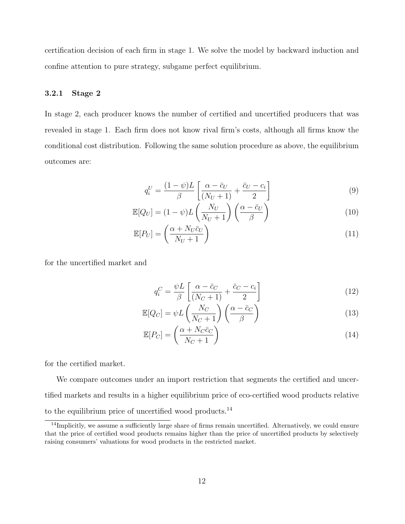certification decision of each firm in stage 1. We solve the model by backward induction and confine attention to pure strategy, subgame perfect equilibrium.

### 3.2.1 Stage 2

In stage 2, each producer knows the number of certified and uncertified producers that was revealed in stage 1. Each firm does not know rival firm's costs, although all firms know the conditional cost distribution. Following the same solution procedure as above, the equilibrium outcomes are:

$$
q_i^U = \frac{(1 - \psi)L}{\beta} \left[ \frac{\alpha - \bar{c}_U}{(N_U + 1)} + \frac{\bar{c}_U - c_i}{2} \right] \tag{9}
$$

$$
\mathbb{E}[Q_U] = (1 - \psi)L\left(\frac{N_U}{N_U + 1}\right)\left(\frac{\alpha - \bar{c}_U}{\beta}\right)
$$
\n(10)

$$
\mathbb{E}[P_U] = \left(\frac{\alpha + N_U \bar{c}_U}{N_U + 1}\right) \tag{11}
$$

for the uncertified market and

$$
q_i^C = \frac{\psi L}{\beta} \left[ \frac{\alpha - \bar{c}_C}{(N_C + 1)} + \frac{\bar{c}_C - c_i}{2} \right]
$$
 (12)

$$
\mathbb{E}[Q_C] = \psi L \left(\frac{N_C}{N_C + 1}\right) \left(\frac{\alpha - \bar{c}_C}{\beta}\right)
$$
\n(13)

$$
\mathbb{E}[P_C] = \left(\frac{\alpha + N_C \bar{c}_C}{N_C + 1}\right) \tag{14}
$$

for the certified market.

We compare outcomes under an import restriction that segments the certified and uncertified markets and results in a higher equilibrium price of eco-certified wood products relative to the equilibrium price of uncertified wood products. $^{14}$ 

<sup>&</sup>lt;sup>14</sup>Implicitly, we assume a sufficiently large share of firms remain uncertified. Alternatively, we could ensure that the price of certified wood products remains higher than the price of uncertified products by selectively raising consumers' valuations for wood products in the restricted market.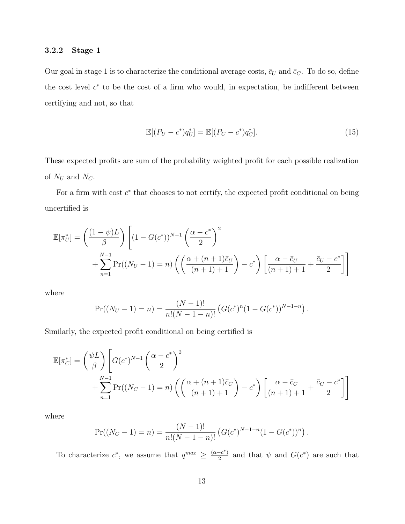### 3.2.2 Stage 1

Our goal in stage 1 is to characterize the conditional average costs,  $\bar{c}_U$  and  $\bar{c}_C$ . To do so, define the cost level  $c^*$  to be the cost of a firm who would, in expectation, be indifferent between certifying and not, so that

$$
\mathbb{E}[(P_U - c^*)q_U^*] = \mathbb{E}[(P_C - c^*)q_C^*].
$$
\n(15)

These expected profits are sum of the probability weighted profit for each possible realization of  $N_U$  and  $N_C$ .

For a firm with cost  $c^*$  that chooses to not certify, the expected profit conditional on being uncertified is

$$
\mathbb{E}[\pi_U^*] = \left(\frac{(1-\psi)L}{\beta}\right) \left[ (1-G(c^*))^{N-1} \left(\frac{\alpha-c^*}{2}\right)^2 + \sum_{n=1}^{N-1} \Pr((N_U-1) = n) \left( \left(\frac{\alpha+(n+1)\bar{c}_U}{(n+1)+1}\right) - c^* \right) \left[ \frac{\alpha-\bar{c}_U}{(n+1)+1} + \frac{\bar{c}_U-c^*}{2} \right] \right]
$$

where

$$
Pr((N_U-1)=n)=\frac{(N-1)!}{n!(N-1-n)!}\left(G(c^*)^n(1-G(c^*))^{N-1-n}\right).
$$

Similarly, the expected profit conditional on being certified is

$$
\mathbb{E}[\pi_C^*] = \left(\frac{\psi L}{\beta}\right) \left[ G(c^*)^{N-1} \left(\frac{\alpha - c^*}{2}\right)^2 + \sum_{n=1}^{N-1} \Pr((N_C - 1) = n) \left( \left(\frac{\alpha + (n+1)\bar{c}_C}{(n+1)+1}\right) - c^* \right) \left[ \frac{\alpha - \bar{c}_C}{(n+1)+1} + \frac{\bar{c}_C - c^*}{2} \right] \right]
$$

where

$$
Pr((N_C-1)=n)=\frac{(N-1)!}{n!(N-1-n)!}\left(G(c^*)^{N-1-n}(1-G(c^*))^n\right).
$$

To characterize  $c^*$ , we assume that  $q^{max} \geq \frac{(\alpha - c^*)}{2}$  $\frac{c^{-c}}{2}$  and that  $\psi$  and  $G(c^*)$  are such that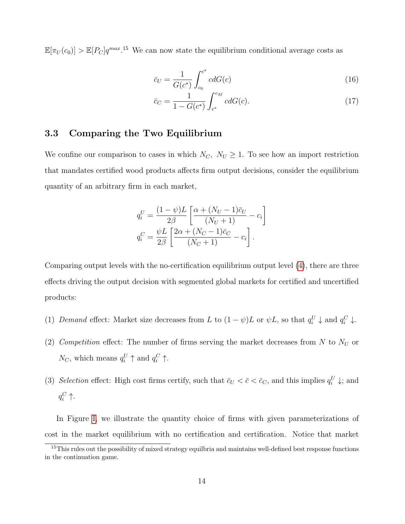$\mathbb{E}[\pi_U(c_0)] > \mathbb{E}[P_C]q^{max}.$ <sup>15</sup> We can now state the equilibrium conditional average costs as

$$
\bar{c}_U = \frac{1}{G(c^*)} \int_{c_0}^{c^*} c dG(c)
$$
\n(16)

$$
\bar{c}_C = \frac{1}{1 - G(c^*)} \int_{c^*}^{c_M} c dG(c). \tag{17}
$$

## 3.3 Comparing the Two Equilibrium

We confine our comparison to cases in which  $N_C$ ,  $N_U \geq 1$ . To see how an import restriction that mandates certified wood products affects firm output decisions, consider the equilibrium quantity of an arbitrary firm in each market,

$$
q_i^U = \frac{(1-\psi)L}{2\beta} \left[ \frac{\alpha + (N_U - 1)\bar{c}_U}{(N_U + 1)} - c_i \right]
$$
  

$$
q_i^C = \frac{\psi L}{2\beta} \left[ \frac{2\alpha + (N_C - 1)\bar{c}_C}{(N_C + 1)} - c_i \right].
$$

Comparing output levels with the no-certification equilibrium output level [\(4\)](#page-10-2), there are three effects driving the output decision with segmented global markets for certified and uncertified products:

- (1) Demand effect: Market size decreases from L to  $(1 \psi)L$  or  $\psi L$ , so that  $q_i^U \downarrow$  and  $q_i^C \downarrow$ .
- (2) Competition effect: The number of firms serving the market decreases from N to  $N_U$  or  $N_C$ , which means  $q_i^U \uparrow$  and  $q_i^C \uparrow$ .
- (3) Selection effect: High cost firms certify, such that  $\bar{c}_U < \bar{c} < \bar{c}_C$ , and this implies  $q_i^U \downarrow$ ; and  $q_i^C$   $\uparrow$ .

In Figure [I,](#page-37-0) we illustrate the quantity choice of firms with given parameterizations of cost in the market equilibrium with no certification and certification. Notice that market

<sup>&</sup>lt;sup>15</sup>This rules out the possibility of mixed strategy equilbria and maintains well-defined best response functions in the continuation game.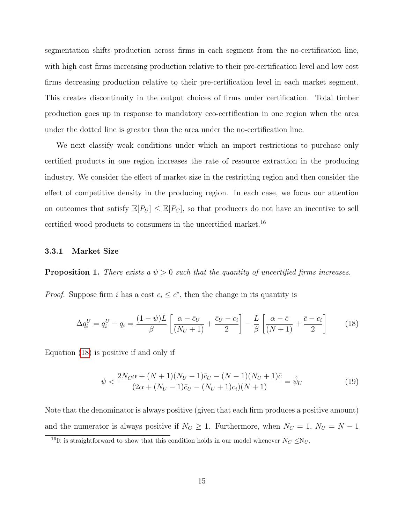segmentation shifts production across firms in each segment from the no-certification line, with high cost firms increasing production relative to their pre-certification level and low cost firms decreasing production relative to their pre-certification level in each market segment. This creates discontinuity in the output choices of firms under certification. Total timber production goes up in response to mandatory eco-certification in one region when the area under the dotted line is greater than the area under the no-certification line.

We next classify weak conditions under which an import restrictions to purchase only certified products in one region increases the rate of resource extraction in the producing industry. We consider the effect of market size in the restricting region and then consider the effect of competitive density in the producing region. In each case, we focus our attention on outcomes that satisfy  $\mathbb{E}[P_U] \leq \mathbb{E}[P_C]$ , so that producers do not have an incentive to sell certified wood products to consumers in the uncertified market.<sup>16</sup>

#### <span id="page-15-1"></span>3.3.1 Market Size

**Proposition 1.** There exists a  $\psi > 0$  such that the quantity of uncertified firms increases.

*Proof.* Suppose firm i has a cost  $c_i \leq c^*$ , then the change in its quantity is

<span id="page-15-0"></span>
$$
\Delta q_i^U = q_i^U - q_i = \frac{(1 - \psi)L}{\beta} \left[ \frac{\alpha - \bar{c}_U}{(N_U + 1)} + \frac{\bar{c}_U - c_i}{2} \right] - \frac{L}{\beta} \left[ \frac{\alpha - \bar{c}}{(N + 1)} + \frac{\bar{c} - c_i}{2} \right] \tag{18}
$$

Equation [\(18\)](#page-15-0) is positive if and only if

$$
\psi < \frac{2N_C\alpha + (N+1)(N_U - 1)\bar{c}_U - (N-1)(N_U + 1)\bar{c}}{(2\alpha + (N_U - 1)\bar{c}_U - (N_U + 1)c_i)(N+1)} = \hat{\psi}_U \tag{19}
$$

Note that the denominator is always positive (given that each firm produces a positive amount) and the numerator is always positive if  $N_C \geq 1$ . Furthermore, when  $N_C = 1$ ,  $N_U = N - 1$ 

<sup>&</sup>lt;sup>16</sup>It is straightforward to show that this condition holds in our model whenever  $N_C \le N_U$ .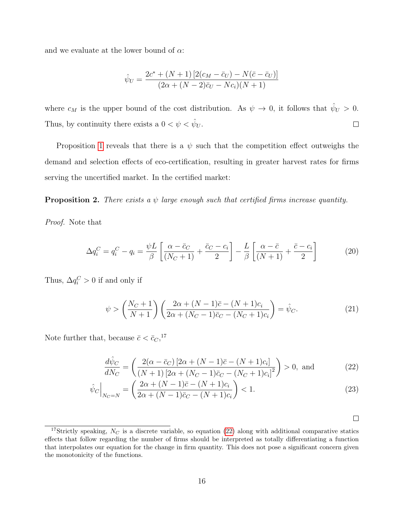and we evaluate at the lower bound of  $\alpha$ :

$$
\hat{\psi}_U = \frac{2c^* + (N+1)[2(c_M - \bar{c}_U) - N(\bar{c} - \bar{c}_U)]}{(2\alpha + (N-2)\bar{c}_U - Nc_i)(N+1)}
$$

where  $c_M$  is the upper bound of the cost distribution. As  $\psi \to 0$ , it follows that  $\hat{\psi}_U > 0$ . Thus, by continuity there exists a  $0 < \psi < \hat{\psi}_U$ .  $\Box$ 

Proposition [1](#page-15-1) reveals that there is a  $\psi$  such that the competition effect outweighs the demand and selection effects of eco-certification, resulting in greater harvest rates for firms serving the uncertified market. In the certified market:

<span id="page-16-1"></span>**Proposition 2.** There exists a  $\psi$  large enough such that certified firms increase quantity.

Proof. Note that

$$
\Delta q_i^C = q_i^C - q_i = \frac{\psi L}{\beta} \left[ \frac{\alpha - \bar{c}_C}{(N_C + 1)} + \frac{\bar{c}_C - c_i}{2} \right] - \frac{L}{\beta} \left[ \frac{\alpha - \bar{c}}{(N + 1)} + \frac{\bar{c} - c_i}{2} \right]
$$
(20)

Thus,  $\Delta q_i^C > 0$  if and only if

$$
\psi > \left(\frac{N_C + 1}{N + 1}\right) \left(\frac{2\alpha + (N - 1)\bar{c} - (N + 1)c_i}{2\alpha + (N_C - 1)\bar{c}_C - (N_C + 1)c_i}\right) = \hat{\psi}_C.
$$
\n(21)

Note further that, because  $\bar{c} < \bar{c}_C$ ,<sup>17</sup>

$$
\frac{d\hat{\psi}_C}{dN_C} = \left(\frac{2(\alpha - \bar{c}_C) [2\alpha + (N-1)\bar{c} - (N+1)c_i]}{(N+1) [2\alpha + (N_C - 1)\bar{c}_C - (N_C + 1)c_i]^2}\right) > 0, \text{ and } (22)
$$

$$
\hat{\psi}_C \Big|_{N_C=N} = \left( \frac{2\alpha + (N-1)\bar{c} - (N+1)c_i}{2\alpha + (N-1)\bar{c}_C - (N+1)c_i} \right) < 1.
$$
\n(23)

<span id="page-16-0"></span>

<sup>&</sup>lt;sup>17</sup>Strictly speaking,  $N_C$  is a discrete variable, so equation [\(22\)](#page-16-0) along with additional comparative statics effects that follow regarding the number of firms should be interpreted as totally differentiating a function that interpolates our equation for the change in firm quantity. This does not pose a significant concern given the monotonicity of the functions.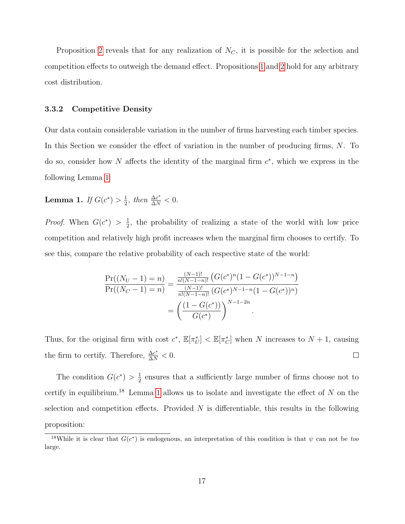Proposition [2](#page-16-1) reveals that for any realization of  $N_C$ , it is possible for the selection and competition effects to outweigh the demand effect. Propositions [1](#page-15-1) and [2](#page-16-1) hold for any arbitrary cost distribution.

#### 3.3.2 Competitive Density

Our data contain considerable variation in the number of firms harvesting each timber species. In this Section we consider the effect of variation in the number of producing firms, N. To do so, consider how N affects the identity of the marginal firm  $c^*$ , which we express in the following Lemma [1:](#page-17-0)

<span id="page-17-0"></span>**Lemma 1.** If  $G(c^*) > \frac{1}{2}$  $\frac{1}{2}$ , then  $\frac{\Delta c^*}{\Delta N} < 0$ .

*Proof.* When  $G(c^*) > \frac{1}{2}$  $\frac{1}{2}$ , the probability of realizing a state of the world with low price competition and relatively high profit increases when the marginal firm chooses to certify. To see this, compare the relative probability of each respective state of the world:

$$
\frac{\Pr((N_U - 1) = n)}{\Pr((N_C - 1) = n)} = \frac{\frac{(N-1)!}{n!(N-1-n)!} \left( G(c^*)^n (1 - G(c^*))^{N-1-n} \right)}{\frac{(N-1)!}{n!(N-1-n)!} \left( G(c^*)^{N-1-n} (1 - G(c^*))^n \right)}
$$

$$
= \left( \frac{(1 - G(c^*))}{G(c^*)} \right)^{N-1-2n}.
$$

Thus, for the original firm with cost  $c^*$ ,  $\mathbb{E}[\pi_U^*] < \mathbb{E}[\pi_C^*]$  when N increases to  $N+1$ , causing the firm to certify. Therefore,  $\frac{\Delta c^*}{\Delta N} < 0$ .  $\Box$ 

The condition  $G(c^*) > \frac{1}{2}$  $\frac{1}{2}$  ensures that a sufficiently large number of firms choose not to certify in equilibrium.<sup>18</sup> Lemma [1](#page-17-0) allows us to isolate and investigate the effect of  $N$  on the selection and competition effects. Provided  $N$  is differentiable, this results in the following proposition:

<sup>&</sup>lt;sup>18</sup>While it is clear that  $G(c^*)$  is endogenous, an interpretation of this condition is that  $\psi$  can not be too large.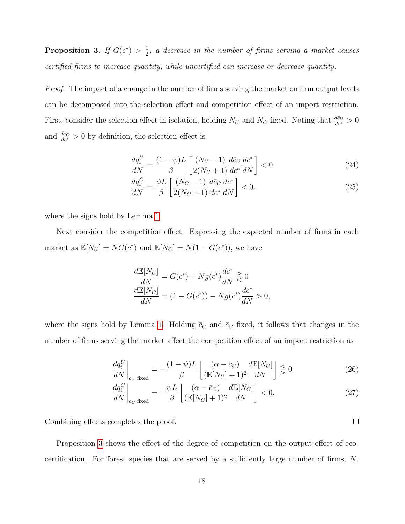<span id="page-18-0"></span>Proposition 3. If  $G(c^*) > \frac{1}{2}$  $\frac{1}{2}$ , a decrease in the number of firms serving a market causes certified firms to increase quantity, while uncertified can increase or decrease quantity.

Proof. The impact of a change in the number of firms serving the market on firm output levels can be decomposed into the selection effect and competition effect of an import restriction. First, consider the selection effect in isolation, holding  $N_U$  and  $N_C$  fixed. Noting that  $\frac{d\bar{c}_U}{dc^*} > 0$ and  $\frac{d\bar{c}_C}{dc^*} > 0$  by definition, the selection effect is

$$
\frac{dq_i^U}{dN} = \frac{(1-\psi)L}{\beta} \left[ \frac{(N_U - 1)}{2(N_U + 1)} \frac{d\bar{c}_U}{dc^*} \frac{dc^*}{dN} \right] < 0
$$
\n(24)

$$
\frac{dq_i^C}{dN} = \frac{\psi L}{\beta} \left[ \frac{(N_C - 1)}{2(N_C + 1)} \frac{d\bar{c}_C}{dc^*} \frac{dc^*}{dN} \right] < 0. \tag{25}
$$

where the signs hold by Lemma [1.](#page-17-0)

Next consider the competition effect. Expressing the expected number of firms in each market as  $\mathbb{E}[N_U] = NG(c^*)$  and  $\mathbb{E}[N_C] = N(1 - G(c^*))$ , we have

$$
\frac{d\mathbb{E}[N_U]}{dN} = G(c^*) + Ng(c^*)\frac{dc^*}{dN} \gtrless 0
$$
  

$$
\frac{d\mathbb{E}[N_C]}{dN} = (1 - G(c^*)) - Ng(c^*)\frac{dc^*}{dN} > 0,
$$

where the signs hold by Lemma [1.](#page-17-0) Holding  $\bar{c}_U$  and  $\bar{c}_C$  fixed, it follows that changes in the number of firms serving the market affect the competition effect of an import restriction as

$$
\left. \frac{dq_i^U}{dN} \right|_{\bar{c}_U \text{ fixed}} = -\frac{(1-\psi)L}{\beta} \left[ \frac{(\alpha - \bar{c}_U)}{(\mathbb{E}[N_U] + 1)^2} \frac{d\mathbb{E}[N_U]}{dN} \right] \leq 0 \tag{26}
$$

$$
\left. \frac{dq_i^C}{dN} \right|_{\bar{c}_C \text{ fixed}} = -\frac{\psi L}{\beta} \left[ \frac{(\alpha - \bar{c}_C)}{(\mathbb{E}[N_C] + 1)^2} \frac{d\mathbb{E}[N_C]}{dN} \right] < 0. \tag{27}
$$

Combining effects completes the proof.

Proposition [3](#page-18-0) shows the effect of the degree of competition on the output effect of ecocertification. For forest species that are served by a sufficiently large number of firms,  $N$ ,

 $\Box$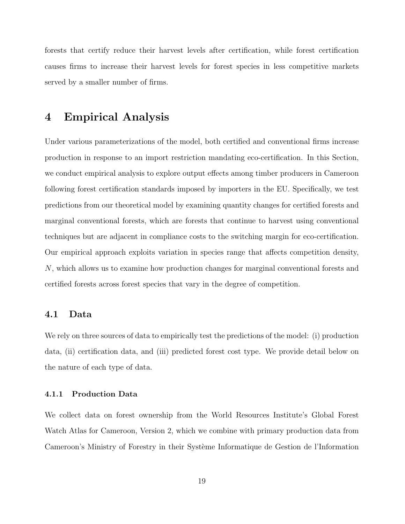forests that certify reduce their harvest levels after certification, while forest certification causes firms to increase their harvest levels for forest species in less competitive markets served by a smaller number of firms.

## 4 Empirical Analysis

Under various parameterizations of the model, both certified and conventional firms increase production in response to an import restriction mandating eco-certification. In this Section, we conduct empirical analysis to explore output effects among timber producers in Cameroon following forest certification standards imposed by importers in the EU. Specifically, we test predictions from our theoretical model by examining quantity changes for certified forests and marginal conventional forests, which are forests that continue to harvest using conventional techniques but are adjacent in compliance costs to the switching margin for eco-certification. Our empirical approach exploits variation in species range that affects competition density, N, which allows us to examine how production changes for marginal conventional forests and certified forests across forest species that vary in the degree of competition.

## 4.1 Data

We rely on three sources of data to empirically test the predictions of the model: (i) production data, (ii) certification data, and (iii) predicted forest cost type. We provide detail below on the nature of each type of data.

### 4.1.1 Production Data

We collect data on forest ownership from the World Resources Institute's Global Forest Watch Atlas for Cameroon, Version 2, which we combine with primary production data from Cameroon's Ministry of Forestry in their Système Informatique de Gestion de l'Information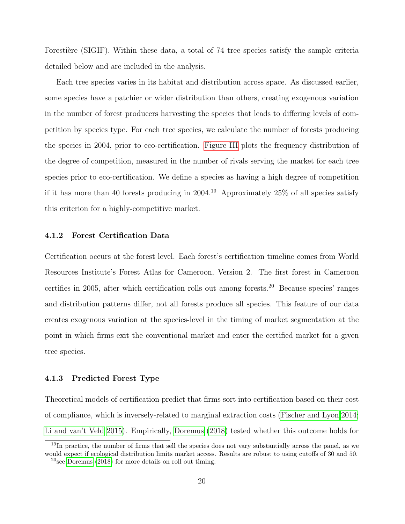Forestière (SIGIF). Within these data, a total of 74 tree species satisfy the sample criteria detailed below and are included in the analysis.

Each tree species varies in its habitat and distribution across space. As discussed earlier, some species have a patchier or wider distribution than others, creating exogenous variation in the number of forest producers harvesting the species that leads to differing levels of competition by species type. For each tree species, we calculate the number of forests producing the species in 2004, prior to eco-certification. [Figure III](#page-39-0) plots the frequency distribution of the degree of competition, measured in the number of rivals serving the market for each tree species prior to eco-certification. We define a species as having a high degree of competition if it has more than 40 forests producing in 2004.<sup>19</sup> Approximately 25% of all species satisfy this criterion for a highly-competitive market.

#### 4.1.2 Forest Certification Data

Certification occurs at the forest level. Each forest's certification timeline comes from World Resources Institute's Forest Atlas for Cameroon, Version 2. The first forest in Cameroon certifies in 2005, after which certification rolls out among forests.<sup>20</sup> Because species' ranges and distribution patterns differ, not all forests produce all species. This feature of our data creates exogenous variation at the species-level in the timing of market segmentation at the point in which firms exit the conventional market and enter the certified market for a given tree species.

### 4.1.3 Predicted Forest Type

Theoretical models of certification predict that firms sort into certification based on their cost of compliance, which is inversely-related to marginal extraction costs [\(Fischer and Lyon 2014;](#page-32-1) [Li and van't Veld 2015\)](#page-33-2). Empirically, [Doremus](#page-31-8) [\(2018\)](#page-31-8) tested whether this outcome holds for

<sup>&</sup>lt;sup>19</sup>In practice, the number of firms that sell the species does not vary substantially across the panel, as we would expect if ecological distribution limits market access. Results are robust to using cutoffs of 30 and 50.

 $^{20}$ see [Doremus](#page-31-8) [\(2018\)](#page-31-8) for more details on roll out timing.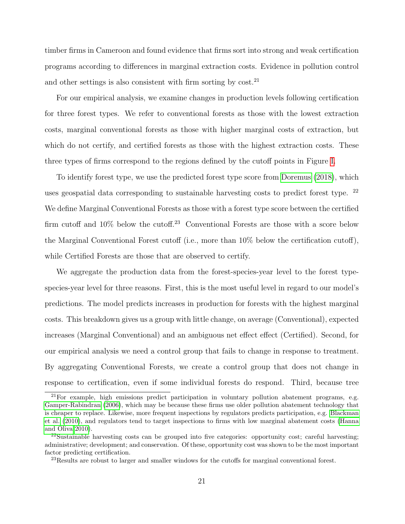timber firms in Cameroon and found evidence that firms sort into strong and weak certification programs according to differences in marginal extraction costs. Evidence in pollution control and other settings is also consistent with firm sorting by  $\cos t$ .<sup>21</sup>

For our empirical analysis, we examine changes in production levels following certification for three forest types. We refer to conventional forests as those with the lowest extraction costs, marginal conventional forests as those with higher marginal costs of extraction, but which do not certify, and certified forests as those with the highest extraction costs. These three types of firms correspond to the regions defined by the cutoff points in Figure [I.](#page-37-0)

To identify forest type, we use the predicted forest type score from [Doremus](#page-31-8) [\(2018\)](#page-31-8), which uses geospatial data corresponding to sustainable harvesting costs to predict forest type.  $22$ We define Marginal Conventional Forests as those with a forest type score between the certified firm cutoff and  $10\%$  below the cutoff.<sup>23</sup> Conventional Forests are those with a score below the Marginal Conventional Forest cutoff (i.e., more than 10% below the certification cutoff), while Certified Forests are those that are observed to certify.

We aggregate the production data from the forest-species-year level to the forest typespecies-year level for three reasons. First, this is the most useful level in regard to our model's predictions. The model predicts increases in production for forests with the highest marginal costs. This breakdown gives us a group with little change, on average (Conventional), expected increases (Marginal Conventional) and an ambiguous net effect effect (Certified). Second, for our empirical analysis we need a control group that fails to change in response to treatment. By aggregating Conventional Forests, we create a control group that does not change in response to certification, even if some individual forests do respond. Third, because tree

<sup>21</sup>For example, high emissions predict participation in voluntary pollution abatement programs, e.g. [Gamper-Rabindran](#page-32-8) [\(2006\)](#page-32-8), which may be because these firms use older pollution abatement technology that is cheaper to replace. Likewise, more frequent inspections by regulators predicts participation, e.g. [Blackman](#page-31-10) [et al.](#page-31-10) [\(2010\)](#page-31-10), and regulators tend to target inspections to firms with low marginal abatement costs [\(Hanna](#page-32-9) [and Oliva 2010\)](#page-32-9).

<sup>22</sup>Sustainable harvesting costs can be grouped into five categories: opportunity cost; careful harvesting; administrative; development; and conservation. Of these, opportunity cost was shown to be the most important factor predicting certification.

<sup>&</sup>lt;sup>23</sup>Results are robust to larger and smaller windows for the cutoffs for marginal conventional forest.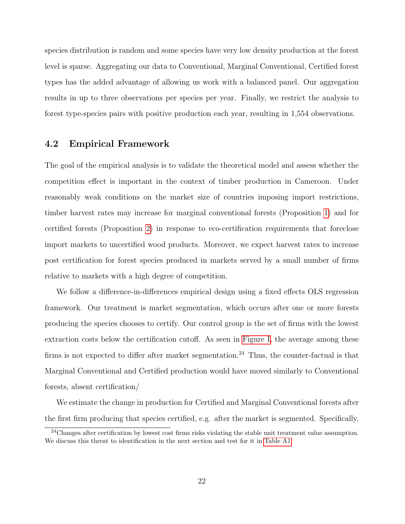species distribution is random and some species have very low density production at the forest level is sparse. Aggregating our data to Conventional, Marginal Conventional, Certified forest types has the added advantage of allowing us work with a balanced panel. Our aggregation results in up to three observations per species per year. Finally, we restrict the analysis to forest type-species pairs with positive production each year, resulting in 1,554 observations.

### 4.2 Empirical Framework

The goal of the empirical analysis is to validate the theoretical model and assess whether the competition effect is important in the context of timber production in Cameroon. Under reasonably weak conditions on the market size of countries imposing import restrictions, timber harvest rates may increase for marginal conventional forests (Proposition [1\)](#page-15-1) and for certified forests (Proposition [2\)](#page-16-1) in response to eco-certification requirements that foreclose import markets to uncertified wood products. Moreover, we expect harvest rates to increase post certification for forest species produced in markets served by a small number of firms relative to markets with a high degree of competition.

We follow a difference-in-differences empirical design using a fixed effects OLS regression framework. Our treatment is market segmentation, which occurs after one or more forests producing the species chooses to certify. Our control group is the set of firms with the lowest extraction costs below the certification cutoff. As seen in [Figure I,](#page-37-0) the average among these firms is not expected to differ after market segmentation.<sup>24</sup> Thus, the counter-factual is that Marginal Conventional and Certified production would have moved similarly to Conventional forests, absent certification/

We estimate the change in production for Certified and Marginal Conventional forests after the first firm producing that species certified, e.g. after the market is segmented. Specifically,

<sup>&</sup>lt;sup>24</sup>Changes after certification by lowest cost firms risks violating the stable unit treatment value assumption. We discuss this threat to identification in the next section and test for it in [Table A1.](#page-41-0)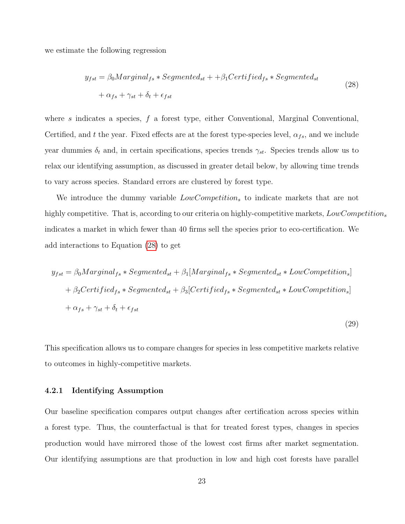we estimate the following regression

$$
y_{fst} = \beta_0 Marginal_{fs} * Segmented_{st} + + \beta_1 Certified_{fs} * Segmented_{st}
$$
  
+  $\alpha_{fs} + \gamma_{st} + \delta_t + \epsilon_{fst}$  (28)

where s indicates a species,  $f$  a forest type, either Conventional, Marginal Conventional, Certified, and t the year. Fixed effects are at the forest type-species level,  $\alpha_{fs}$ , and we include year dummies  $\delta_t$  and, in certain specifications, species trends  $\gamma_{st}$ . Species trends allow us to relax our identifying assumption, as discussed in greater detail below, by allowing time trends to vary across species. Standard errors are clustered by forest type.

We introduce the dummy variable  $LowCompetition<sub>s</sub>$  to indicate markets that are not highly competitive. That is, according to our criteria on highly-competitive markets,  $LowCompetition_s$ indicates a market in which fewer than 40 firms sell the species prior to eco-certification. We add interactions to Equation [\(28\)](#page-23-0) to get

$$
y_{fst} = \beta_0 Marginal_{fs} * Segmented_{st} + \beta_1 [Marginal_{fs} * Segmented_{st} * LowCompetition_s]
$$
  
+  $\beta_2 Certified_{fs} * Segmented_{st} + \beta_3 [Certified_{fs} * Segmented_{st} * LowCompetition_s]$   
+  $\alpha_{fs} + \gamma_{st} + \delta_t + \epsilon_{fst}$ 

<span id="page-23-0"></span>(29)

This specification allows us to compare changes for species in less competitive markets relative to outcomes in highly-competitive markets.

#### 4.2.1 Identifying Assumption

Our baseline specification compares output changes after certification across species within a forest type. Thus, the counterfactual is that for treated forest types, changes in species production would have mirrored those of the lowest cost firms after market segmentation. Our identifying assumptions are that production in low and high cost forests have parallel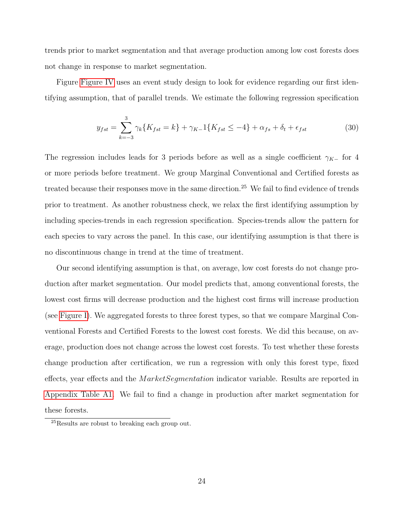trends prior to market segmentation and that average production among low cost forests does not change in response to market segmentation.

Figure [Figure IV](#page-40-0) uses an event study design to look for evidence regarding our first identifying assumption, that of parallel trends. We estimate the following regression specification

$$
y_{fst} = \sum_{k=-3}^{3} \gamma_k \{ K_{fst} = k \} + \gamma_{K-1} \{ K_{fst} \le -4 \} + \alpha_{fs} + \delta_t + \epsilon_{fst} \tag{30}
$$

The regression includes leads for 3 periods before as well as a single coefficient  $\gamma_{K-}$  for 4 or more periods before treatment. We group Marginal Conventional and Certified forests as treated because their responses move in the same direction.<sup>25</sup> We fail to find evidence of trends prior to treatment. As another robustness check, we relax the first identifying assumption by including species-trends in each regression specification. Species-trends allow the pattern for each species to vary across the panel. In this case, our identifying assumption is that there is no discontinuous change in trend at the time of treatment.

Our second identifying assumption is that, on average, low cost forests do not change production after market segmentation. Our model predicts that, among conventional forests, the lowest cost firms will decrease production and the highest cost firms will increase production (see [Figure I\)](#page-37-0). We aggregated forests to three forest types, so that we compare Marginal Conventional Forests and Certified Forests to the lowest cost forests. We did this because, on average, production does not change across the lowest cost forests. To test whether these forests change production after certification, we run a regression with only this forest type, fixed effects, year effects and the *MarketSegmentation* indicator variable. Results are reported in [Appendix Table A1.](#page-41-0) We fail to find a change in production after market segmentation for these forests.

<sup>25</sup>Results are robust to breaking each group out.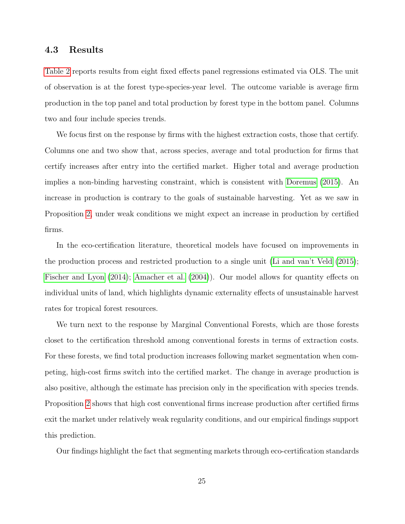### 4.3 Results

[Table 2](#page-36-0) reports results from eight fixed effects panel regressions estimated via OLS. The unit of observation is at the forest type-species-year level. The outcome variable is average firm production in the top panel and total production by forest type in the bottom panel. Columns two and four include species trends.

We focus first on the response by firms with the highest extraction costs, those that certify. Columns one and two show that, across species, average and total production for firms that certify increases after entry into the certified market. Higher total and average production implies a non-binding harvesting constraint, which is consistent with [Doremus](#page-31-11) [\(2015\)](#page-31-11). An increase in production is contrary to the goals of sustainable harvesting. Yet as we saw in Proposition [2,](#page-16-1) under weak conditions we might expect an increase in production by certified firms.

In the eco-certification literature, theoretical models have focused on improvements in the production process and restricted production to a single unit [\(Li and van't Veld](#page-33-2) [\(2015\)](#page-33-2); [Fischer and Lyon](#page-32-1) [\(2014\)](#page-32-1); [Amacher et al.](#page-31-3) [\(2004\)](#page-31-3)). Our model allows for quantity effects on individual units of land, which highlights dynamic externality effects of unsustainable harvest rates for tropical forest resources.

We turn next to the response by Marginal Conventional Forests, which are those forests closet to the certification threshold among conventional forests in terms of extraction costs. For these forests, we find total production increases following market segmentation when competing, high-cost firms switch into the certified market. The change in average production is also positive, although the estimate has precision only in the specification with species trends. Proposition [2](#page-16-1) shows that high cost conventional firms increase production after certified firms exit the market under relatively weak regularity conditions, and our empirical findings support this prediction.

Our findings highlight the fact that segmenting markets through eco-certification standards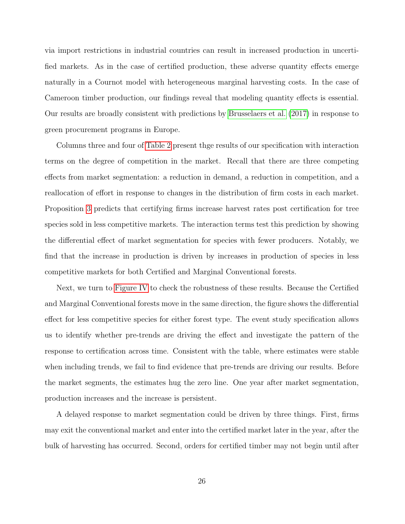via import restrictions in industrial countries can result in increased production in uncertified markets. As in the case of certified production, these adverse quantity effects emerge naturally in a Cournot model with heterogeneous marginal harvesting costs. In the case of Cameroon timber production, our findings reveal that modeling quantity effects is essential. Our results are broadly consistent with predictions by [Brusselaers et al.](#page-31-7) [\(2017\)](#page-31-7) in response to green procurement programs in Europe.

Columns three and four of [Table 2](#page-36-0) present thge results of our specification with interaction terms on the degree of competition in the market. Recall that there are three competing effects from market segmentation: a reduction in demand, a reduction in competition, and a reallocation of effort in response to changes in the distribution of firm costs in each market. Proposition [3](#page-18-0) predicts that certifying firms increase harvest rates post certification for tree species sold in less competitive markets. The interaction terms test this prediction by showing the differential effect of market segmentation for species with fewer producers. Notably, we find that the increase in production is driven by increases in production of species in less competitive markets for both Certified and Marginal Conventional forests.

Next, we turn to [Figure IV](#page-40-0) to check the robustness of these results. Because the Certified and Marginal Conventional forests move in the same direction, the figure shows the differential effect for less competitive species for either forest type. The event study specification allows us to identify whether pre-trends are driving the effect and investigate the pattern of the response to certification across time. Consistent with the table, where estimates were stable when including trends, we fail to find evidence that pre-trends are driving our results. Before the market segments, the estimates hug the zero line. One year after market segmentation, production increases and the increase is persistent.

A delayed response to market segmentation could be driven by three things. First, firms may exit the conventional market and enter into the certified market later in the year, after the bulk of harvesting has occurred. Second, orders for certified timber may not begin until after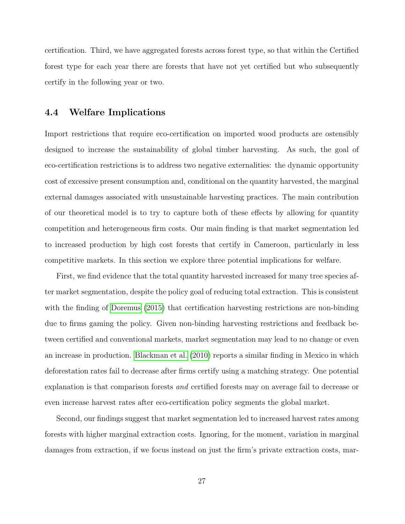certification. Third, we have aggregated forests across forest type, so that within the Certified forest type for each year there are forests that have not yet certified but who subsequently certify in the following year or two.

### 4.4 Welfare Implications

Import restrictions that require eco-certification on imported wood products are ostensibly designed to increase the sustainability of global timber harvesting. As such, the goal of eco-certification restrictions is to address two negative externalities: the dynamic opportunity cost of excessive present consumption and, conditional on the quantity harvested, the marginal external damages associated with unsustainable harvesting practices. The main contribution of our theoretical model is to try to capture both of these effects by allowing for quantity competition and heterogeneous firm costs. Our main finding is that market segmentation led to increased production by high cost forests that certify in Cameroon, particularly in less competitive markets. In this section we explore three potential implications for welfare.

First, we find evidence that the total quantity harvested increased for many tree species after market segmentation, despite the policy goal of reducing total extraction. This is consistent with the finding of [Doremus](#page-31-11) [\(2015\)](#page-31-11) that certification harvesting restrictions are non-binding due to firms gaming the policy. Given non-binding harvesting restrictions and feedback between certified and conventional markets, market segmentation may lead to no change or even an increase in production. [Blackman et al.](#page-31-10) [\(2010\)](#page-31-10) reports a similar finding in Mexico in which deforestation rates fail to decrease after firms certify using a matching strategy. One potential explanation is that comparison forests *and* certified forests may on average fail to decrease or even increase harvest rates after eco-certification policy segments the global market.

Second, our findings suggest that market segmentation led to increased harvest rates among forests with higher marginal extraction costs. Ignoring, for the moment, variation in marginal damages from extraction, if we focus instead on just the firm's private extraction costs, mar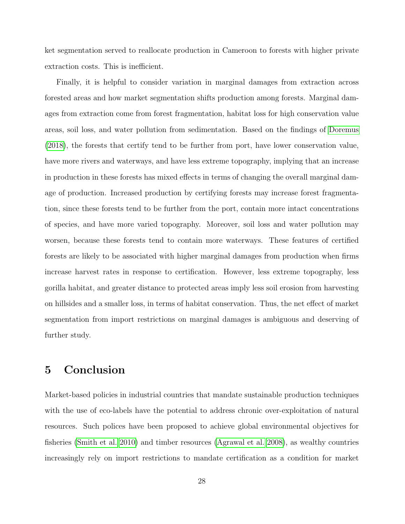ket segmentation served to reallocate production in Cameroon to forests with higher private extraction costs. This is inefficient.

Finally, it is helpful to consider variation in marginal damages from extraction across forested areas and how market segmentation shifts production among forests. Marginal damages from extraction come from forest fragmentation, habitat loss for high conservation value areas, soil loss, and water pollution from sedimentation. Based on the findings of [Doremus](#page-31-8) [\(2018\)](#page-31-8), the forests that certify tend to be further from port, have lower conservation value, have more rivers and waterways, and have less extreme topography, implying that an increase in production in these forests has mixed effects in terms of changing the overall marginal damage of production. Increased production by certifying forests may increase forest fragmentation, since these forests tend to be further from the port, contain more intact concentrations of species, and have more varied topography. Moreover, soil loss and water pollution may worsen, because these forests tend to contain more waterways. These features of certified forests are likely to be associated with higher marginal damages from production when firms increase harvest rates in response to certification. However, less extreme topography, less gorilla habitat, and greater distance to protected areas imply less soil erosion from harvesting on hillsides and a smaller loss, in terms of habitat conservation. Thus, the net effect of market segmentation from import restrictions on marginal damages is ambiguous and deserving of further study.

## 5 Conclusion

Market-based policies in industrial countries that mandate sustainable production techniques with the use of eco-labels have the potential to address chronic over-exploitation of natural resources. Such polices have been proposed to achieve global environmental objectives for fisheries [\(Smith et al. 2010\)](#page-33-11) and timber resources [\(Agrawal et al. 2008\)](#page-31-12), as wealthy countries increasingly rely on import restrictions to mandate certification as a condition for market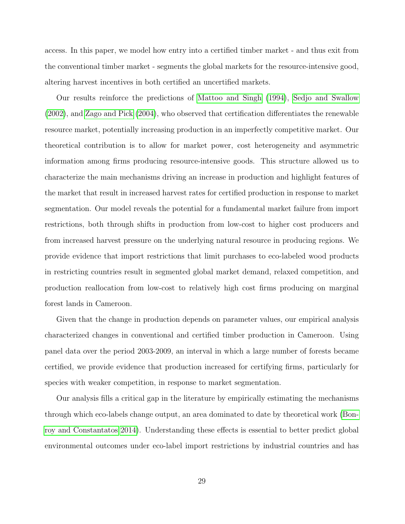access. In this paper, we model how entry into a certified timber market - and thus exit from the conventional timber market - segments the global markets for the resource-intensive good, altering harvest incentives in both certified an uncertified markets.

Our results reinforce the predictions of [Mattoo and Singh](#page-33-3) [\(1994\)](#page-33-3), [Sedjo and Swallow](#page-33-4) [\(2002\)](#page-33-4), and [Zago and Pick](#page-34-2) [\(2004\)](#page-34-2), who observed that certification differentiates the renewable resource market, potentially increasing production in an imperfectly competitive market. Our theoretical contribution is to allow for market power, cost heterogeneity and asymmetric information among firms producing resource-intensive goods. This structure allowed us to characterize the main mechanisms driving an increase in production and highlight features of the market that result in increased harvest rates for certified production in response to market segmentation. Our model reveals the potential for a fundamental market failure from import restrictions, both through shifts in production from low-cost to higher cost producers and from increased harvest pressure on the underlying natural resource in producing regions. We provide evidence that import restrictions that limit purchases to eco-labeled wood products in restricting countries result in segmented global market demand, relaxed competition, and production reallocation from low-cost to relatively high cost firms producing on marginal forest lands in Cameroon.

Given that the change in production depends on parameter values, our empirical analysis characterized changes in conventional and certified timber production in Cameroon. Using panel data over the period 2003-2009, an interval in which a large number of forests became certified, we provide evidence that production increased for certifying firms, particularly for species with weaker competition, in response to market segmentation.

Our analysis fills a critical gap in the literature by empirically estimating the mechanisms through which eco-labels change output, an area dominated to date by theoretical work [\(Bon](#page-31-5)[roy and Constantatos 2014\)](#page-31-5). Understanding these effects is essential to better predict global environmental outcomes under eco-label import restrictions by industrial countries and has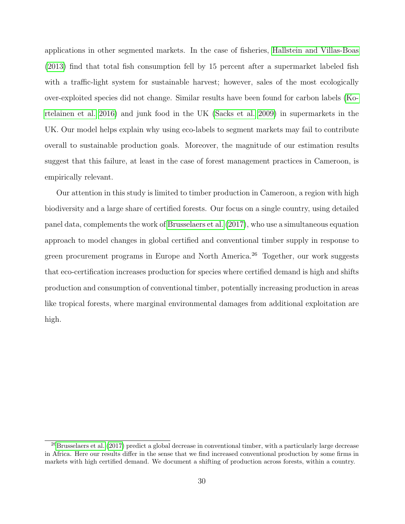applications in other segmented markets. In the case of fisheries, [Hallstein and Villas-Boas](#page-32-10) [\(2013\)](#page-32-10) find that total fish consumption fell by 15 percent after a supermarket labeled fish with a traffic-light system for sustainable harvest; however, sales of the most ecologically over-exploited species did not change. Similar results have been found for carbon labels [\(Ko](#page-32-11)[rtelainen et al. 2016\)](#page-32-11) and junk food in the UK [\(Sacks et al. 2009\)](#page-33-12) in supermarkets in the UK. Our model helps explain why using eco-labels to segment markets may fail to contribute overall to sustainable production goals. Moreover, the magnitude of our estimation results suggest that this failure, at least in the case of forest management practices in Cameroon, is empirically relevant.

Our attention in this study is limited to timber production in Cameroon, a region with high biodiversity and a large share of certified forests. Our focus on a single country, using detailed panel data, complements the work of [Brusselaers et al.](#page-31-7) [\(2017\)](#page-31-7), who use a simultaneous equation approach to model changes in global certified and conventional timber supply in response to green procurement programs in Europe and North America.<sup>26</sup> Together, our work suggests that eco-certification increases production for species where certified demand is high and shifts production and consumption of conventional timber, potentially increasing production in areas like tropical forests, where marginal environmental damages from additional exploitation are high.

 $^{26}$ [Brusselaers et al.](#page-31-7) [\(2017\)](#page-31-7) predict a global decrease in conventional timber, with a particularly large decrease in Africa. Here our results differ in the sense that we find increased conventional production by some firms in markets with high certified demand. We document a shifting of production across forests, within a country.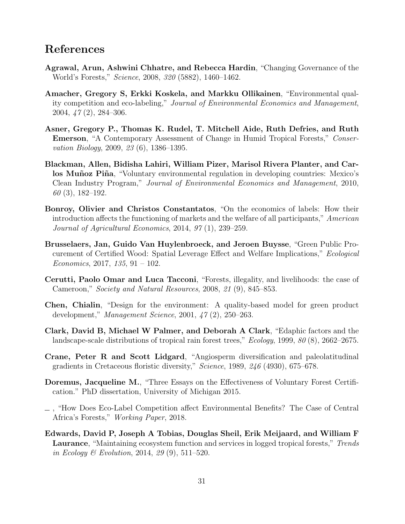## References

- <span id="page-31-12"></span>Agrawal, Arun, Ashwini Chhatre, and Rebecca Hardin, "Changing Governance of the World's Forests," Science, 2008, 320 (5882), 1460–1462.
- <span id="page-31-3"></span>Amacher, Gregory S, Erkki Koskela, and Markku Ollikainen, "Environmental quality competition and eco-labeling," Journal of Environmental Economics and Management, 2004, 47 (2), 284–306.
- <span id="page-31-0"></span>Asner, Gregory P., Thomas K. Rudel, T. Mitchell Aide, Ruth Defries, and Ruth **Emerson**, "A Contemporary Assessment of Change in Humid Tropical Forests," Conservation Biology, 2009, 23 (6), 1386–1395.
- <span id="page-31-10"></span>Blackman, Allen, Bidisha Lahiri, William Pizer, Marisol Rivera Planter, and Carlos Muñoz Piña, "Voluntary environmental regulation in developing countries: Mexico's Clean Industry Program," Journal of Environmental Economics and Management, 2010, 60 (3), 182–192.
- <span id="page-31-5"></span>Bonroy, Olivier and Christos Constantatos, "On the economics of labels: How their introduction affects the functioning of markets and the welfare of all participants," American Journal of Agricultural Economics, 2014, 97 (1), 239–259.
- <span id="page-31-7"></span>Brusselaers, Jan, Guido Van Huylenbroeck, and Jeroen Buysse, "Green Public Procurement of Certified Wood: Spatial Leverage Effect and Welfare Implications," Ecological Economics, 2017, 135, 91 – 102.
- <span id="page-31-9"></span>Cerutti, Paolo Omar and Luca Tacconi, "Forests, illegality, and livelihoods: the case of Cameroon," Society and Natural Resources, 2008, 21 (9), 845–853.
- <span id="page-31-2"></span>Chen, Chialin, "Design for the environment: A quality-based model for green product development," Management Science, 2001, 47 (2), 250–263.
- <span id="page-31-6"></span>Clark, David B, Michael W Palmer, and Deborah A Clark, "Edaphic factors and the landscape-scale distributions of tropical rain forest trees,"  $Ecology$ , 1999, 80 (8), 2662–2675.
- <span id="page-31-1"></span>Crane, Peter R and Scott Lidgard, "Angiosperm diversification and paleolatitudinal gradients in Cretaceous floristic diversity," Science, 1989, 246 (4930), 675–678.
- <span id="page-31-11"></span>Doremus, Jacqueline M., "Three Essays on the Effectiveness of Voluntary Forest Certification." PhD dissertation, University of Michigan 2015.
- <span id="page-31-8"></span>, "How Does Eco-Label Competition affect Environmental Benefits? The Case of Central Africa's Forests," Working Paper, 2018.
- <span id="page-31-4"></span>Edwards, David P, Joseph A Tobias, Douglas Sheil, Erik Meijaard, and William F Laurance, "Maintaining ecosystem function and services in logged tropical forests," Trends in Ecology & Evolution, 2014, 29 (9), 511–520.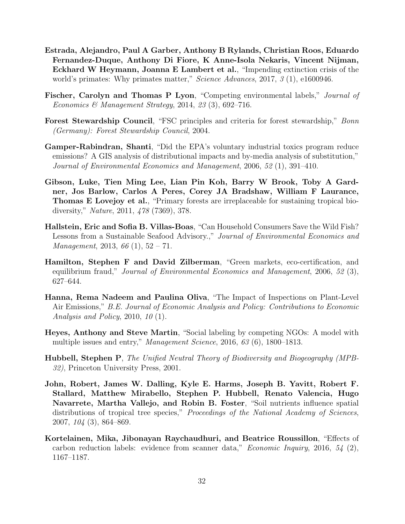- <span id="page-32-3"></span>Estrada, Alejandro, Paul A Garber, Anthony B Rylands, Christian Roos, Eduardo Fernandez-Duque, Anthony Di Fiore, K Anne-Isola Nekaris, Vincent Nijman, Eckhard W Heymann, Joanna E Lambert et al., "Impending extinction crisis of the world's primates: Why primates matter," *Science Advances*, 2017, 3 (1), e1600946.
- <span id="page-32-1"></span>Fischer, Carolyn and Thomas P Lyon, "Competing environmental labels," Journal of Economics & Management Strategy, 2014, 23 (3), 692-716.
- <span id="page-32-6"></span>Forest Stewardship Council, "FSC principles and criteria for forest stewardship," Bonn (Germany): Forest Stewardship Council, 2004.
- <span id="page-32-8"></span>Gamper-Rabindran, Shanti, "Did the EPA's voluntary industrial toxics program reduce emissions? A GIS analysis of distributional impacts and by-media analysis of substitution," Journal of Environmental Economics and Management, 2006, 52 (1), 391–410.
- <span id="page-32-0"></span>Gibson, Luke, Tien Ming Lee, Lian Pin Koh, Barry W Brook, Toby A Gardner, Jos Barlow, Carlos A Peres, Corey JA Bradshaw, William F Laurance, Thomas E Lovejoy et al., "Primary forests are irreplaceable for sustaining tropical biodiversity," Nature, 2011, 478 (7369), 378.
- <span id="page-32-10"></span>Hallstein, Eric and Sofia B. Villas-Boas, "Can Household Consumers Save the Wild Fish? Lessons from a Sustainable Seafood Advisory.," Journal of Environmental Economics and Management, 2013, 66  $(1)$ , 52 – 71.
- <span id="page-32-7"></span>Hamilton, Stephen F and David Zilberman, "Green markets, eco-certification, and equilibrium fraud," *Journal of Environmental Economics and Management*, 2006, 52 (3), 627–644.
- <span id="page-32-9"></span>Hanna, Rema Nadeem and Paulina Oliva, "The Impact of Inspections on Plant-Level Air Emissions," B.E. Journal of Economic Analysis and Policy: Contributions to Economic Analysis and Policy, 2010, 10 (1).
- <span id="page-32-2"></span>Heyes, Anthony and Steve Martin, "Social labeling by competing NGOs: A model with multiple issues and entry," Management Science, 2016, 63 (6), 1800–1813.
- <span id="page-32-4"></span>Hubbell, Stephen P, The Unified Neutral Theory of Biodiversity and Biogeography (MPB-32), Princeton University Press, 2001.
- <span id="page-32-5"></span>John, Robert, James W. Dalling, Kyle E. Harms, Joseph B. Yavitt, Robert F. Stallard, Matthew Mirabello, Stephen P. Hubbell, Renato Valencia, Hugo Navarrete, Martha Vallejo, and Robin B. Foster, "Soil nutrients influence spatial distributions of tropical tree species," *Proceedings of the National Academy of Sciences*, 2007, 104 (3), 864–869.
- <span id="page-32-11"></span>Kortelainen, Mika, Jibonayan Raychaudhuri, and Beatrice Roussillon, "Effects of carbon reduction labels: evidence from scanner data," *Economic Inquiry*, 2016, 54 (2), 1167–1187.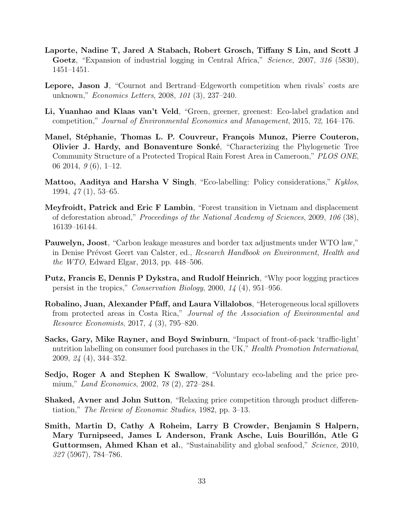- <span id="page-33-5"></span>Laporte, Nadine T, Jared A Stabach, Robert Grosch, Tiffany S Lin, and Scott J Goetz, "Expansion of industrial logging in Central Africa," Science, 2007, 316 (5830), 1451–1451.
- <span id="page-33-10"></span>Lepore, Jason J, "Cournot and Bertrand–Edgeworth competition when rivals' costs are unknown," Economics Letters, 2008, 101 (3), 237–240.
- <span id="page-33-2"></span>Li, Yuanhao and Klaas van't Veld, "Green, greener, greenest: Eco-label gradation and competition," Journal of Environmental Economics and Management, 2015, 72, 164–176.
- <span id="page-33-9"></span>Manel, Stéphanie, Thomas L. P. Couvreur, François Munoz, Pierre Couteron, Olivier J. Hardy, and Bonaventure Sonké, "Characterizing the Phylogenetic Tree Community Structure of a Protected Tropical Rain Forest Area in Cameroon," PLOS ONE, 06 2014,  $9(6)$ , 1-12.
- <span id="page-33-3"></span>Mattoo, Aaditya and Harsha V Singh, "Eco-labelling: Policy considerations," Kyklos, 1994, 47 (1), 53–65.
- <span id="page-33-6"></span>Meyfroidt, Patrick and Eric F Lambin, "Forest transition in Vietnam and displacement of deforestation abroad," Proceedings of the National Academy of Sciences, 2009, 106 (38), 16139–16144.
- <span id="page-33-0"></span>Pauwelyn, Joost, "Carbon leakage measures and border tax adjustments under WTO law," in Denise Prévost Geert van Calster, ed., Research Handbook on Environment, Health and the WTO, Edward Elgar, 2013, pp. 448–506.
- <span id="page-33-8"></span>Putz, Francis E, Dennis P Dykstra, and Rudolf Heinrich, "Why poor logging practices persist in the tropics," Conservation Biology, 2000, 14 (4), 951–956.
- <span id="page-33-7"></span>Robalino, Juan, Alexander Pfaff, and Laura Villalobos, "Heterogeneous local spillovers from protected areas in Costa Rica," Journal of the Association of Environmental and Resource Economists, 2017, 4 (3), 795–820.
- <span id="page-33-12"></span>Sacks, Gary, Mike Rayner, and Boyd Swinburn, "Impact of front-of-pack 'traffic-light' nutrition labelling on consumer food purchases in the UK," Health Promotion International, 2009, 24 (4), 344–352.
- <span id="page-33-4"></span>Sedjo, Roger A and Stephen K Swallow, "Voluntary eco-labeling and the price premium," Land Economics, 2002, 78 (2), 272–284.
- <span id="page-33-1"></span>Shaked, Avner and John Sutton, "Relaxing price competition through product differentiation," The Review of Economic Studies, 1982, pp. 3–13.
- <span id="page-33-11"></span>Smith, Martin D, Cathy A Roheim, Larry B Crowder, Benjamin S Halpern, Mary Turnipseed, James L Anderson, Frank Asche, Luis Bourillón, Atle G Guttormsen, Ahmed Khan et al., "Sustainability and global seafood," Science, 2010, 327 (5967), 784–786.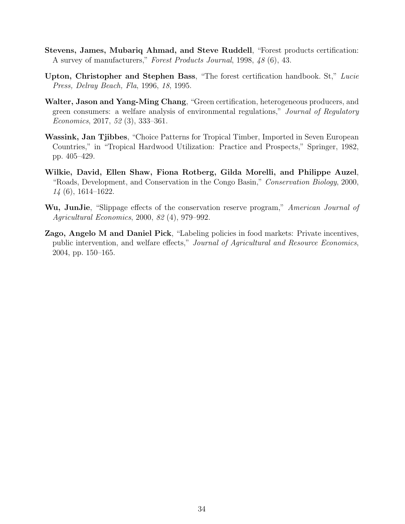- <span id="page-34-5"></span>Stevens, James, Mubariq Ahmad, and Steve Ruddell, "Forest products certification: A survey of manufacturers," Forest Products Journal, 1998, 48 (6), 43.
- <span id="page-34-4"></span>Upton, Christopher and Stephen Bass, "The forest certification handbook. St," Lucie Press, Delray Beach, Fla, 1996, 18, 1995.
- <span id="page-34-6"></span>Walter, Jason and Yang-Ming Chang, "Green certification, heterogeneous producers, and green consumers: a welfare analysis of environmental regulations," Journal of Regulatory Economics, 2017, 52 (3), 333–361.
- <span id="page-34-3"></span>Wassink, Jan Tjibbes, "Choice Patterns for Tropical Timber, Imported in Seven European Countries," in "Tropical Hardwood Utilization: Practice and Prospects," Springer, 1982, pp. 405–429.
- <span id="page-34-0"></span>Wilkie, David, Ellen Shaw, Fiona Rotberg, Gilda Morelli, and Philippe Auzel, "Roads, Development, and Conservation in the Congo Basin," Conservation Biology, 2000, 14 (6), 1614–1622.
- <span id="page-34-1"></span>Wu, JunJie, "Slippage effects of the conservation reserve program," American Journal of Agricultural Economics, 2000, 82 (4), 979–992.
- <span id="page-34-2"></span>Zago, Angelo M and Daniel Pick, "Labeling policies in food markets: Private incentives, public intervention, and welfare effects," Journal of Agricultural and Resource Economics, 2004, pp. 150–165.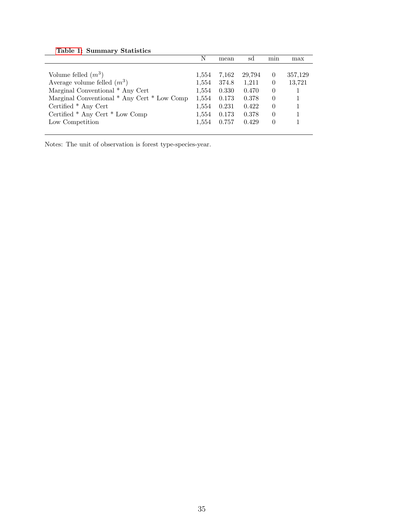<span id="page-35-0"></span>

|                                             | N     | mean  | sd     | mın      | max     |
|---------------------------------------------|-------|-------|--------|----------|---------|
|                                             |       |       |        |          |         |
| Volume felled $(m^3)$                       | 1,554 | 7,162 | 29,794 | $\theta$ | 357,129 |
| Average volume felled $(m^3)$               | 1,554 | 374.8 | 1,211  | $\theta$ | 13,721  |
| Marginal Conventional * Any Cert            | 1,554 | 0.330 | 0.470  | $\theta$ |         |
| Marginal Conventional * Any Cert * Low Comp | 1,554 | 0.173 | 0.378  | $\Omega$ |         |
| Certified * Any Cert                        | 1,554 | 0.231 | 0.422  | $\theta$ |         |
| Certified * Any Cert * Low Comp             | 1.554 | 0.173 | 0.378  | $\Omega$ |         |
| Low Competition                             | 1,554 | 0.757 | 0.429  | $\Omega$ |         |
|                                             |       |       |        |          |         |

Notes: The unit of observation is forest type-species-year.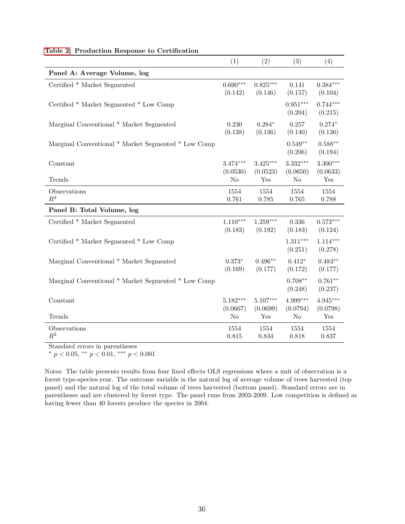|                                                     | (1)                          | (2)                           | (3)                        | (4)                           |
|-----------------------------------------------------|------------------------------|-------------------------------|----------------------------|-------------------------------|
| Panel A: Average Volume, log                        |                              |                               |                            |                               |
| Certified * Market Segmented                        | $0.690***$<br>(0.142)        | $0.825***$<br>(0.146)         | 0.141<br>(0.157)           | $0.384***$<br>(0.104)         |
| Certified * Market Segmented * Low Comp             |                              |                               | $0.951***$<br>(0.204)      | $0.744***$<br>(0.215)         |
| Marginal Conventional * Market Segmented            | 0.230<br>(0.138)             | $0.284*$<br>(0.136)           | 0.257<br>(0.140)           | $0.274*$<br>(0.136)           |
| Marginal Conventional * Market Segmented * Low Comp |                              |                               | $0.549**$<br>(0.206)       | $0.588**$<br>(0.194)          |
| Constant                                            | $3.474***$<br>(0.0530)       | $3.425***$<br>(0.0523)        | 3.332***<br>(0.0650)       | $3.300***$<br>(0.0633)        |
| Trends                                              | No                           | Yes                           | No                         | Yes                           |
| Observations<br>$R^2$                               | 1554<br>0.761                | 1554<br>0.785                 | 1554<br>0.765              | 1554<br>0.788                 |
| Panel B: Total Volume, log                          |                              |                               |                            |                               |
| Certified * Market Segmented                        | $1.110***$<br>(0.183)        | $1.259***$<br>(0.192)         | 0.336<br>(0.183)           | $0.573***$<br>(0.124)         |
| Certified * Market Segmented * Low Comp             |                              |                               | $1.311***$<br>(0.251)      | $1.114***$<br>(0.278)         |
| Marginal Conventional * Market Segmented            | $0.373*$<br>(0.169)          | $0.496**$<br>(0.177)          | $0.412*$<br>(0.172)        | $0.483**$<br>(0.177)          |
| Marginal Conventional * Market Segmented * Low Comp |                              |                               | $0.708**$<br>(0.248)       | $0.761**$<br>(0.237)          |
| Constant<br>Trends                                  | $5.182***$<br>(0.0667)<br>No | $5.107***$<br>(0.0699)<br>Yes | 4.999***<br>(0.0794)<br>No | $4.945***$<br>(0.0798)<br>Yes |
| Observations<br>$\,R^2$                             | 1554<br>0.815                | 1554<br>0.834                 | 1554<br>0.818              | 1554<br>0.837                 |

#### <span id="page-36-0"></span>[Table 2:](#page-36-0) Production Response to Certification

Standard errors in parentheses

<sup>∗</sup> p < 0.05, ∗∗ p < 0.01, ∗∗∗ p < 0.001

Notes: The table presents results from four fixed effects OLS regressions where a unit of observation is a forest type-species-year. The outcome variable is the natural log of average volume of trees harvested (top panel) and the natural log of the total volume of trees harvested (bottom panel). Standard errors are in parentheses and are clustered by forest type. The panel runs from 2003-2009. Low competition is defined as having fewer than 40 forests produce the species in 2004.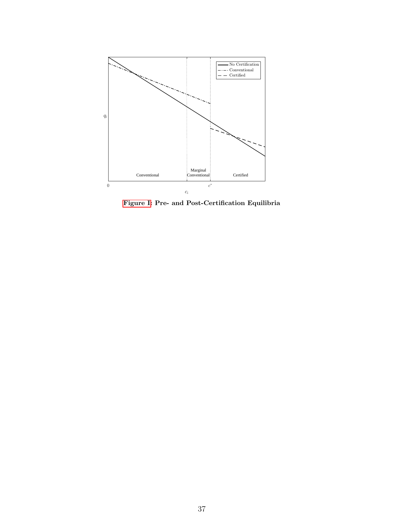<span id="page-37-0"></span>

[Figure I:](#page-0-0) Pre- and Post-Certification Equilibria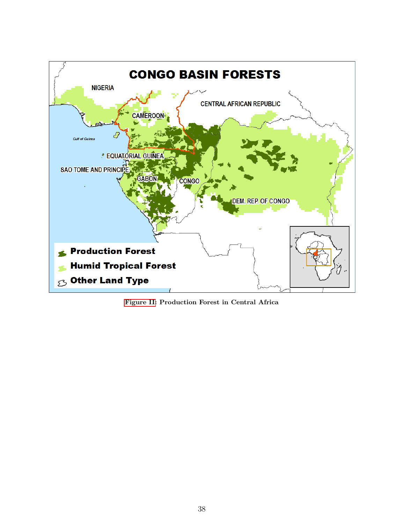

[Figure II:](#page-0-0) Production Forest in Central Africa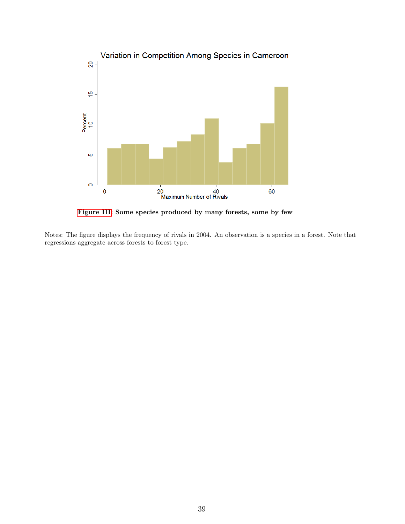<span id="page-39-0"></span>

[Figure III:](#page-0-0) Some species produced by many forests, some by few

Notes: The figure displays the frequency of rivals in 2004. An observation is a species in a forest. Note that regressions aggregate across forests to forest type.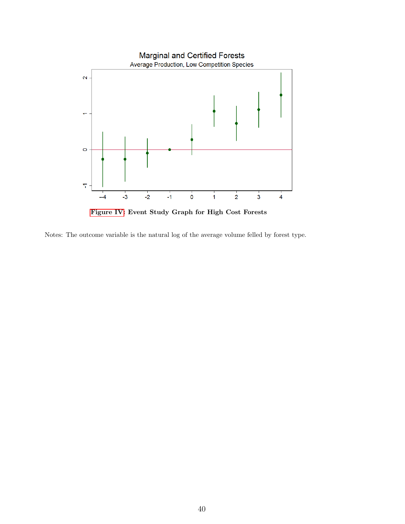<span id="page-40-0"></span>

[Figure IV:](#page-0-0) Event Study Graph for High Cost Forests

Notes: The outcome variable is the natural log of the average volume felled by forest type.